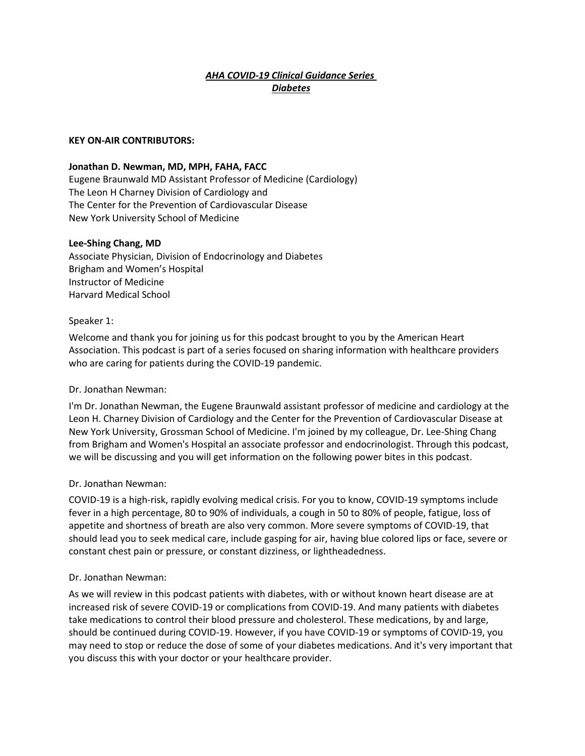# *AHA COVID-19 Clinical Guidance Series Diabetes*

#### **KEY ON-AIR CONTRIBUTORS:**

#### **Jonathan D. Newman, MD, MPH, FAHA, FACC**

Eugene Braunwald MD Assistant Professor of Medicine (Cardiology) The Leon H Charney Division of Cardiology and The Center for the Prevention of Cardiovascular Disease New York University School of Medicine

#### **Lee-Shing Chang, MD**

Associate Physician, Division of Endocrinology and Diabetes Brigham and Women's Hospital Instructor of Medicine Harvard Medical School

#### Speaker 1:

Welcome and thank you for joining us for this podcast brought to you by the American Heart Association. This podcast is part of a series focused on sharing information with healthcare providers who are caring for patients during the COVID-19 pandemic.

#### Dr. Jonathan Newman:

I'm Dr. Jonathan Newman, the Eugene Braunwald assistant professor of medicine and cardiology at the Leon H. Charney Division of Cardiology and the Center for the Prevention of Cardiovascular Disease at New York University, Grossman School of Medicine. I'm joined by my colleague, Dr. Lee-Shing Chang from Brigham and Women's Hospital an associate professor and endocrinologist. Through this podcast, we will be discussing and you will get information on the following power bites in this podcast.

#### Dr. Jonathan Newman:

COVID-19 is a high-risk, rapidly evolving medical crisis. For you to know, COVID-19 symptoms include fever in a high percentage, 80 to 90% of individuals, a cough in 50 to 80% of people, fatigue, loss of appetite and shortness of breath are also very common. More severe symptoms of COVID-19, that should lead you to seek medical care, include gasping for air, having blue colored lips or face, severe or constant chest pain or pressure, or constant dizziness, or lightheadedness.

#### Dr. Jonathan Newman:

As we will review in this podcast patients with diabetes, with or without known heart disease are at increased risk of severe COVID-19 or complications from COVID-19. And many patients with diabetes take medications to control their blood pressure and cholesterol. These medications, by and large, should be continued during COVID-19. However, if you have COVID-19 or symptoms of COVID-19, you may need to stop or reduce the dose of some of your diabetes medications. And it's very important that you discuss this with your doctor or your healthcare provider.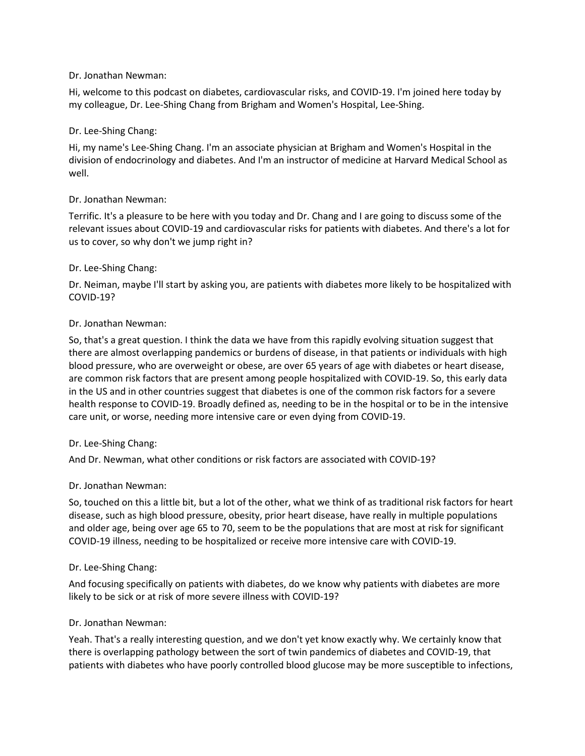## Dr. Jonathan Newman:

Hi, welcome to this podcast on diabetes, cardiovascular risks, and COVID-19. I'm joined here today by my colleague, Dr. Lee-Shing Chang from Brigham and Women's Hospital, Lee-Shing.

#### Dr. Lee-Shing Chang:

Hi, my name's Lee-Shing Chang. I'm an associate physician at Brigham and Women's Hospital in the division of endocrinology and diabetes. And I'm an instructor of medicine at Harvard Medical School as well.

#### Dr. Jonathan Newman:

Terrific. It's a pleasure to be here with you today and Dr. Chang and I are going to discuss some of the relevant issues about COVID-19 and cardiovascular risks for patients with diabetes. And there's a lot for us to cover, so why don't we jump right in?

#### Dr. Lee-Shing Chang:

Dr. Neiman, maybe I'll start by asking you, are patients with diabetes more likely to be hospitalized with COVID-19?

#### Dr. Jonathan Newman:

So, that's a great question. I think the data we have from this rapidly evolving situation suggest that there are almost overlapping pandemics or burdens of disease, in that patients or individuals with high blood pressure, who are overweight or obese, are over 65 years of age with diabetes or heart disease, are common risk factors that are present among people hospitalized with COVID-19. So, this early data in the US and in other countries suggest that diabetes is one of the common risk factors for a severe health response to COVID-19. Broadly defined as, needing to be in the hospital or to be in the intensive care unit, or worse, needing more intensive care or even dying from COVID-19.

#### Dr. Lee-Shing Chang:

And Dr. Newman, what other conditions or risk factors are associated with COVID-19?

## Dr. Jonathan Newman:

So, touched on this a little bit, but a lot of the other, what we think of as traditional risk factors for heart disease, such as high blood pressure, obesity, prior heart disease, have really in multiple populations and older age, being over age 65 to 70, seem to be the populations that are most at risk for significant COVID-19 illness, needing to be hospitalized or receive more intensive care with COVID-19.

#### Dr. Lee-Shing Chang:

And focusing specifically on patients with diabetes, do we know why patients with diabetes are more likely to be sick or at risk of more severe illness with COVID-19?

## Dr. Jonathan Newman:

Yeah. That's a really interesting question, and we don't yet know exactly why. We certainly know that there is overlapping pathology between the sort of twin pandemics of diabetes and COVID-19, that patients with diabetes who have poorly controlled blood glucose may be more susceptible to infections,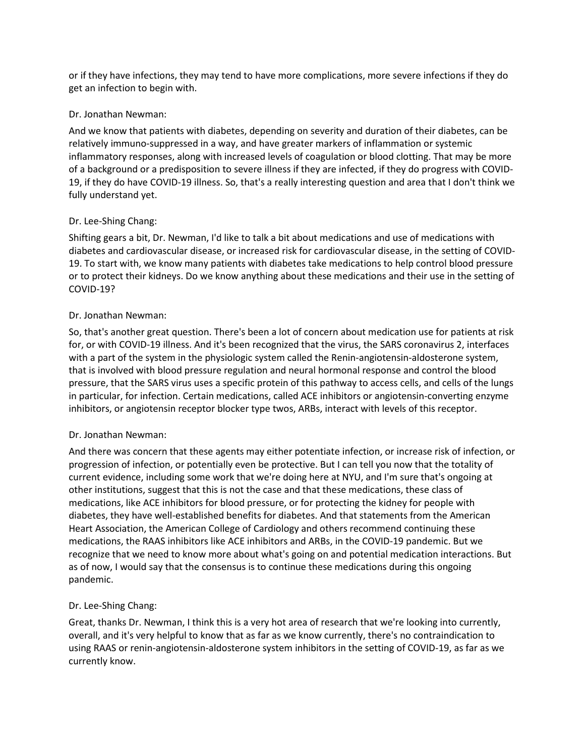or if they have infections, they may tend to have more complications, more severe infections if they do get an infection to begin with.

## Dr. Jonathan Newman:

And we know that patients with diabetes, depending on severity and duration of their diabetes, can be relatively immuno-suppressed in a way, and have greater markers of inflammation or systemic inflammatory responses, along with increased levels of coagulation or blood clotting. That may be more of a background or a predisposition to severe illness if they are infected, if they do progress with COVID-19, if they do have COVID-19 illness. So, that's a really interesting question and area that I don't think we fully understand yet.

# Dr. Lee-Shing Chang:

Shifting gears a bit, Dr. Newman, I'd like to talk a bit about medications and use of medications with diabetes and cardiovascular disease, or increased risk for cardiovascular disease, in the setting of COVID-19. To start with, we know many patients with diabetes take medications to help control blood pressure or to protect their kidneys. Do we know anything about these medications and their use in the setting of COVID-19?

# Dr. Jonathan Newman:

So, that's another great question. There's been a lot of concern about medication use for patients at risk for, or with COVID-19 illness. And it's been recognized that the virus, the SARS coronavirus 2, interfaces with a part of the system in the physiologic system called the Renin-angiotensin-aldosterone system, that is involved with blood pressure regulation and neural hormonal response and control the blood pressure, that the SARS virus uses a specific protein of this pathway to access cells, and cells of the lungs in particular, for infection. Certain medications, called ACE inhibitors or angiotensin-converting enzyme inhibitors, or angiotensin receptor blocker type twos, ARBs, interact with levels of this receptor.

## Dr. Jonathan Newman:

And there was concern that these agents may either potentiate infection, or increase risk of infection, or progression of infection, or potentially even be protective. But I can tell you now that the totality of current evidence, including some work that we're doing here at NYU, and I'm sure that's ongoing at other institutions, suggest that this is not the case and that these medications, these class of medications, like ACE inhibitors for blood pressure, or for protecting the kidney for people with diabetes, they have well-established benefits for diabetes. And that statements from the American Heart Association, the American College of Cardiology and others recommend continuing these medications, the RAAS inhibitors like ACE inhibitors and ARBs, in the COVID-19 pandemic. But we recognize that we need to know more about what's going on and potential medication interactions. But as of now, I would say that the consensus is to continue these medications during this ongoing pandemic.

# Dr. Lee-Shing Chang:

Great, thanks Dr. Newman, I think this is a very hot area of research that we're looking into currently, overall, and it's very helpful to know that as far as we know currently, there's no contraindication to using RAAS or renin-angiotensin-aldosterone system inhibitors in the setting of COVID-19, as far as we currently know.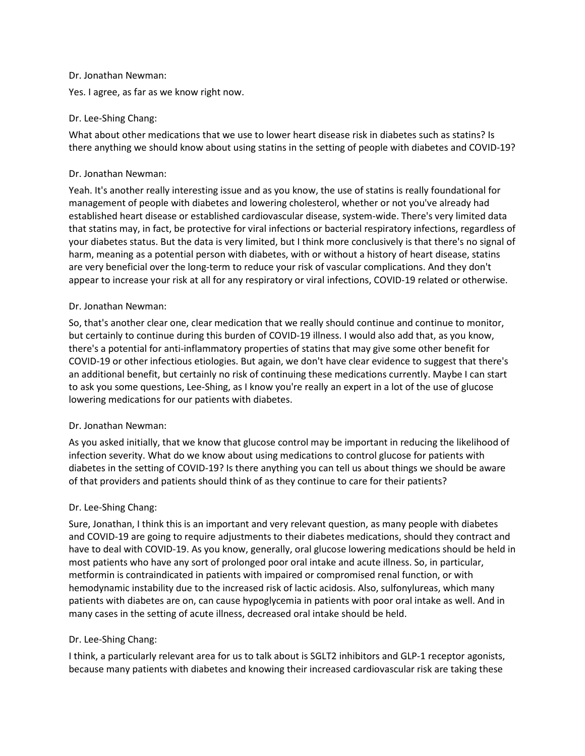#### Dr. Jonathan Newman:

Yes. I agree, as far as we know right now.

## Dr. Lee-Shing Chang:

What about other medications that we use to lower heart disease risk in diabetes such as statins? Is there anything we should know about using statins in the setting of people with diabetes and COVID-19?

## Dr. Jonathan Newman:

Yeah. It's another really interesting issue and as you know, the use of statins is really foundational for management of people with diabetes and lowering cholesterol, whether or not you've already had established heart disease or established cardiovascular disease, system-wide. There's very limited data that statins may, in fact, be protective for viral infections or bacterial respiratory infections, regardless of your diabetes status. But the data is very limited, but I think more conclusively is that there's no signal of harm, meaning as a potential person with diabetes, with or without a history of heart disease, statins are very beneficial over the long-term to reduce your risk of vascular complications. And they don't appear to increase your risk at all for any respiratory or viral infections, COVID-19 related or otherwise.

# Dr. Jonathan Newman:

So, that's another clear one, clear medication that we really should continue and continue to monitor, but certainly to continue during this burden of COVID-19 illness. I would also add that, as you know, there's a potential for anti-inflammatory properties of statins that may give some other benefit for COVID-19 or other infectious etiologies. But again, we don't have clear evidence to suggest that there's an additional benefit, but certainly no risk of continuing these medications currently. Maybe I can start to ask you some questions, Lee-Shing, as I know you're really an expert in a lot of the use of glucose lowering medications for our patients with diabetes.

## Dr. Jonathan Newman:

As you asked initially, that we know that glucose control may be important in reducing the likelihood of infection severity. What do we know about using medications to control glucose for patients with diabetes in the setting of COVID-19? Is there anything you can tell us about things we should be aware of that providers and patients should think of as they continue to care for their patients?

# Dr. Lee-Shing Chang:

Sure, Jonathan, I think this is an important and very relevant question, as many people with diabetes and COVID-19 are going to require adjustments to their diabetes medications, should they contract and have to deal with COVID-19. As you know, generally, oral glucose lowering medications should be held in most patients who have any sort of prolonged poor oral intake and acute illness. So, in particular, metformin is contraindicated in patients with impaired or compromised renal function, or with hemodynamic instability due to the increased risk of lactic acidosis. Also, sulfonylureas, which many patients with diabetes are on, can cause hypoglycemia in patients with poor oral intake as well. And in many cases in the setting of acute illness, decreased oral intake should be held.

# Dr. Lee-Shing Chang:

I think, a particularly relevant area for us to talk about is SGLT2 inhibitors and GLP-1 receptor agonists, because many patients with diabetes and knowing their increased cardiovascular risk are taking these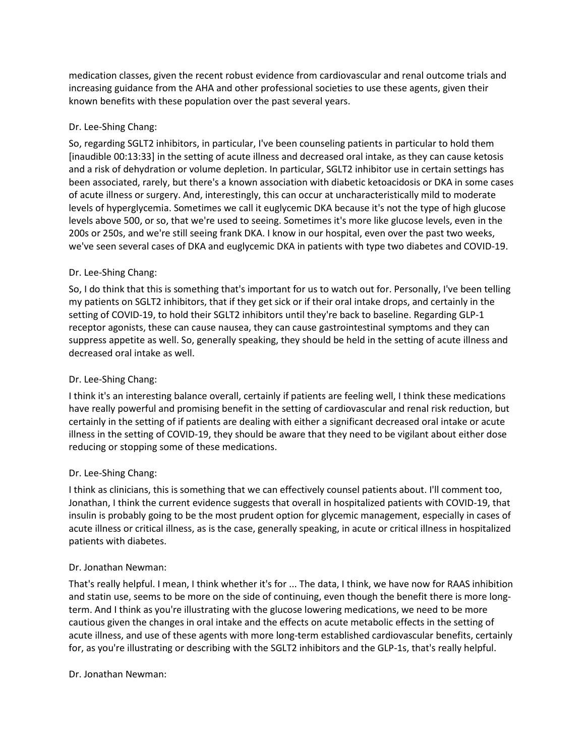medication classes, given the recent robust evidence from cardiovascular and renal outcome trials and increasing guidance from the AHA and other professional societies to use these agents, given their known benefits with these population over the past several years.

# Dr. Lee-Shing Chang:

So, regarding SGLT2 inhibitors, in particular, I've been counseling patients in particular to hold them [inaudible 00:13:33] in the setting of acute illness and decreased oral intake, as they can cause ketosis and a risk of dehydration or volume depletion. In particular, SGLT2 inhibitor use in certain settings has been associated, rarely, but there's a known association with diabetic ketoacidosis or DKA in some cases of acute illness or surgery. And, interestingly, this can occur at uncharacteristically mild to moderate levels of hyperglycemia. Sometimes we call it euglycemic DKA because it's not the type of high glucose levels above 500, or so, that we're used to seeing. Sometimes it's more like glucose levels, even in the 200s or 250s, and we're still seeing frank DKA. I know in our hospital, even over the past two weeks, we've seen several cases of DKA and euglycemic DKA in patients with type two diabetes and COVID-19.

# Dr. Lee-Shing Chang:

So, I do think that this is something that's important for us to watch out for. Personally, I've been telling my patients on SGLT2 inhibitors, that if they get sick or if their oral intake drops, and certainly in the setting of COVID-19, to hold their SGLT2 inhibitors until they're back to baseline. Regarding GLP-1 receptor agonists, these can cause nausea, they can cause gastrointestinal symptoms and they can suppress appetite as well. So, generally speaking, they should be held in the setting of acute illness and decreased oral intake as well.

## Dr. Lee-Shing Chang:

I think it's an interesting balance overall, certainly if patients are feeling well, I think these medications have really powerful and promising benefit in the setting of cardiovascular and renal risk reduction, but certainly in the setting of if patients are dealing with either a significant decreased oral intake or acute illness in the setting of COVID-19, they should be aware that they need to be vigilant about either dose reducing or stopping some of these medications.

## Dr. Lee-Shing Chang:

I think as clinicians, this is something that we can effectively counsel patients about. I'll comment too, Jonathan, I think the current evidence suggests that overall in hospitalized patients with COVID-19, that insulin is probably going to be the most prudent option for glycemic management, especially in cases of acute illness or critical illness, as is the case, generally speaking, in acute or critical illness in hospitalized patients with diabetes.

## Dr. Jonathan Newman:

That's really helpful. I mean, I think whether it's for ... The data, I think, we have now for RAAS inhibition and statin use, seems to be more on the side of continuing, even though the benefit there is more longterm. And I think as you're illustrating with the glucose lowering medications, we need to be more cautious given the changes in oral intake and the effects on acute metabolic effects in the setting of acute illness, and use of these agents with more long-term established cardiovascular benefits, certainly for, as you're illustrating or describing with the SGLT2 inhibitors and the GLP-1s, that's really helpful.

Dr. Jonathan Newman: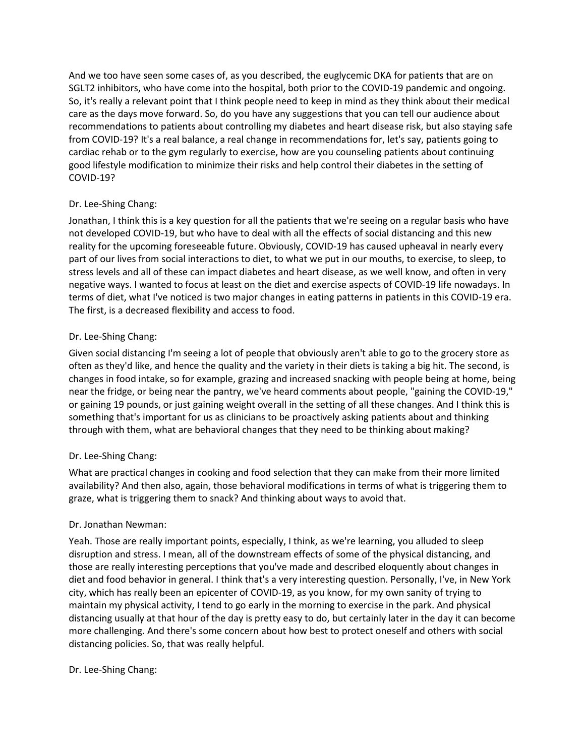And we too have seen some cases of, as you described, the euglycemic DKA for patients that are on SGLT2 inhibitors, who have come into the hospital, both prior to the COVID-19 pandemic and ongoing. So, it's really a relevant point that I think people need to keep in mind as they think about their medical care as the days move forward. So, do you have any suggestions that you can tell our audience about recommendations to patients about controlling my diabetes and heart disease risk, but also staying safe from COVID-19? It's a real balance, a real change in recommendations for, let's say, patients going to cardiac rehab or to the gym regularly to exercise, how are you counseling patients about continuing good lifestyle modification to minimize their risks and help control their diabetes in the setting of COVID-19?

# Dr. Lee-Shing Chang:

Jonathan, I think this is a key question for all the patients that we're seeing on a regular basis who have not developed COVID-19, but who have to deal with all the effects of social distancing and this new reality for the upcoming foreseeable future. Obviously, COVID-19 has caused upheaval in nearly every part of our lives from social interactions to diet, to what we put in our mouths, to exercise, to sleep, to stress levels and all of these can impact diabetes and heart disease, as we well know, and often in very negative ways. I wanted to focus at least on the diet and exercise aspects of COVID-19 life nowadays. In terms of diet, what I've noticed is two major changes in eating patterns in patients in this COVID-19 era. The first, is a decreased flexibility and access to food.

# Dr. Lee-Shing Chang:

Given social distancing I'm seeing a lot of people that obviously aren't able to go to the grocery store as often as they'd like, and hence the quality and the variety in their diets is taking a big hit. The second, is changes in food intake, so for example, grazing and increased snacking with people being at home, being near the fridge, or being near the pantry, we've heard comments about people, "gaining the COVID-19," or gaining 19 pounds, or just gaining weight overall in the setting of all these changes. And I think this is something that's important for us as clinicians to be proactively asking patients about and thinking through with them, what are behavioral changes that they need to be thinking about making?

# Dr. Lee-Shing Chang:

What are practical changes in cooking and food selection that they can make from their more limited availability? And then also, again, those behavioral modifications in terms of what is triggering them to graze, what is triggering them to snack? And thinking about ways to avoid that.

## Dr. Jonathan Newman:

Yeah. Those are really important points, especially, I think, as we're learning, you alluded to sleep disruption and stress. I mean, all of the downstream effects of some of the physical distancing, and those are really interesting perceptions that you've made and described eloquently about changes in diet and food behavior in general. I think that's a very interesting question. Personally, I've, in New York city, which has really been an epicenter of COVID-19, as you know, for my own sanity of trying to maintain my physical activity, I tend to go early in the morning to exercise in the park. And physical distancing usually at that hour of the day is pretty easy to do, but certainly later in the day it can become more challenging. And there's some concern about how best to protect oneself and others with social distancing policies. So, that was really helpful.

## Dr. Lee-Shing Chang: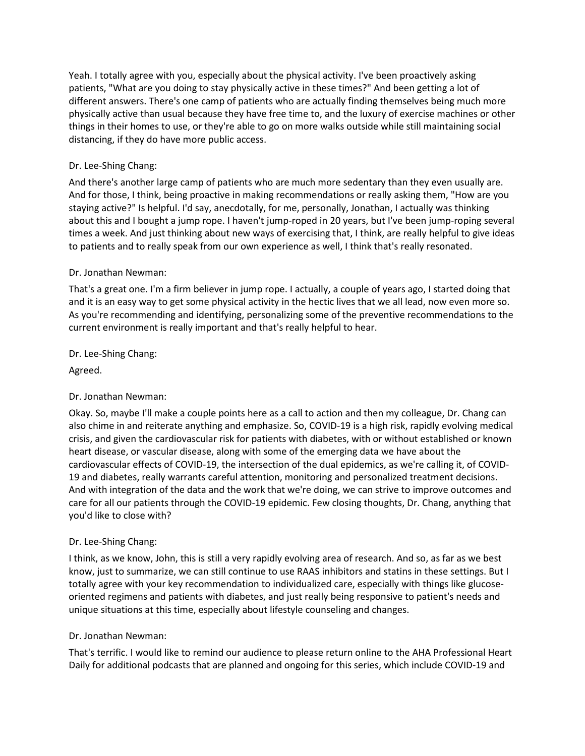Yeah. I totally agree with you, especially about the physical activity. I've been proactively asking patients, "What are you doing to stay physically active in these times?" And been getting a lot of different answers. There's one camp of patients who are actually finding themselves being much more physically active than usual because they have free time to, and the luxury of exercise machines or other things in their homes to use, or they're able to go on more walks outside while still maintaining social distancing, if they do have more public access.

# Dr. Lee-Shing Chang:

And there's another large camp of patients who are much more sedentary than they even usually are. And for those, I think, being proactive in making recommendations or really asking them, "How are you staying active?" Is helpful. I'd say, anecdotally, for me, personally, Jonathan, I actually was thinking about this and I bought a jump rope. I haven't jump-roped in 20 years, but I've been jump-roping several times a week. And just thinking about new ways of exercising that, I think, are really helpful to give ideas to patients and to really speak from our own experience as well, I think that's really resonated.

## Dr. Jonathan Newman:

That's a great one. I'm a firm believer in jump rope. I actually, a couple of years ago, I started doing that and it is an easy way to get some physical activity in the hectic lives that we all lead, now even more so. As you're recommending and identifying, personalizing some of the preventive recommendations to the current environment is really important and that's really helpful to hear.

Dr. Lee-Shing Chang:

Agreed.

# Dr. Jonathan Newman:

Okay. So, maybe I'll make a couple points here as a call to action and then my colleague, Dr. Chang can also chime in and reiterate anything and emphasize. So, COVID-19 is a high risk, rapidly evolving medical crisis, and given the cardiovascular risk for patients with diabetes, with or without established or known heart disease, or vascular disease, along with some of the emerging data we have about the cardiovascular effects of COVID-19, the intersection of the dual epidemics, as we're calling it, of COVID-19 and diabetes, really warrants careful attention, monitoring and personalized treatment decisions. And with integration of the data and the work that we're doing, we can strive to improve outcomes and care for all our patients through the COVID-19 epidemic. Few closing thoughts, Dr. Chang, anything that you'd like to close with?

# Dr. Lee-Shing Chang:

I think, as we know, John, this is still a very rapidly evolving area of research. And so, as far as we best know, just to summarize, we can still continue to use RAAS inhibitors and statins in these settings. But I totally agree with your key recommendation to individualized care, especially with things like glucoseoriented regimens and patients with diabetes, and just really being responsive to patient's needs and unique situations at this time, especially about lifestyle counseling and changes.

## Dr. Jonathan Newman:

That's terrific. I would like to remind our audience to please return online to the AHA Professional Heart Daily for additional podcasts that are planned and ongoing for this series, which include COVID-19 and